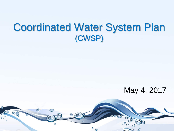# Coordinated Water System Plan (CWSP)

#### May 4, 2017

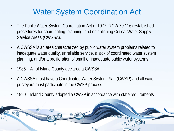#### Water System Coordination Act

- The Public Water System Coordination Act of 1977 (RCW 70.116) established procedures for coordinating, planning, and establishing Critical Water Supply Service Areas (CWSSA).
- A CWSSA is an area characterized by public water system problems related to inadequate water quality, unreliable service, a lack of coordinated water system planning, and/or a proliferation of small or inadequate public water systems
- 1985 All of Island County declared a CWSSA
- A CWSSA must have a Coordinated Water System Plan (CWSP) and all water purveyors must participate in the CWSP process
- 1990 Island County adopted a CWSP in accordance with state requirements

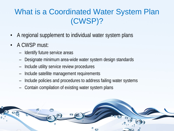## What is a Coordinated Water System Plan (CWSP)?

- A regional supplement to individual water system plans
- A CWSP must:
	- Identify future service areas
	- Designate minimum area-wide water system design standards
	- Include utility service review procedures
	- Include satellite management requirements
	- Include policies and procedures to address failing water systems
	- Contain compilation of existing water system plans

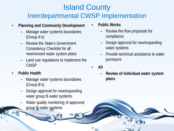#### Island County Interdepartmental CWSP Implementation

#### • **Planning and Community Development**

- Manage water systems boundaries (Group A's)
- Review the State's Government Consistency Checklist for all new/revised water system plans
- Land use regulations to implement the CWSP
- **Public Health**
	- Manage water systems boundaries (Group B's)
	- Design approval for new/expanding water group B water systems
	- Water quality monitoring of approved group B water systems
- **Public Works**
	- Review fire flow proposals for compliance
	- Design approval for new/expanding water systems
	- Provide technical assistance to water purveyors
- **All**
	- **Review of individual water system plans**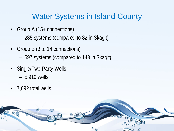#### Water Systems in Island County

- Group A (15+ connections)
	- 285 systems (compared to 82 in Skagit)
- Group B (3 to 14 connections)
	- 597 systems (compared to 143 in Skagit)
- Single/Two-Party Wells
	- 5,919 wells
- 7,692 total wells

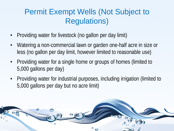### Permit Exempt Wells (Not Subject to Regulations)

- Providing water for livestock (no gallon per day limit)
- Watering a non-commercial lawn or garden one-half acre in size or less (no gallon per day limit, however limited to reasonable use)
- Providing water for a single home or groups of homes (limited to 5,000 gallons per day)
- Providing water for industrial purposes, including irrigation (limited to 5,000 gallons per day but no acre limit)

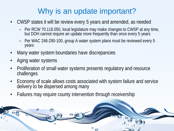### Why is an update important?

- CWSP states it will be review every 5 years and amended, as needed
	- Per RCW 70.116.050, local legislature may make changes to CWSP at any time, but DOH cannot require an update more frequently than once every 5 years
	- Per WAC 246-290-100, group A water system plans must be reviewed every 5 years
- Many water system boundaries have discrepancies
- Aging water systems
- Proliferation of small water systems presents regulatory and resource challenges
- Economy of scale allows costs associated with system failure and service delivery to be dispersed among many
- Failures may require county intervention through receivership

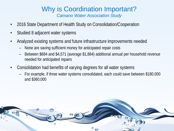#### Why is Coordination Important? *Camano Water Association Study*

- 2016 State Department of Health Study on Consolidation/Cooperation
- Studied 8 adjacent water systems
- Analyzed existing systems and future infrastructure improvements needed
	- None are saving sufficient money for anticipated repair costs
	- Between \$684 and \$4,571 (average \$1,884) additional annual per household revenue needed for anticipated repairs
- Consolidation had benefits of varying degrees for all water systems
	- For example, if three water systems consolidated, each could save between \$180,000 and \$360,000